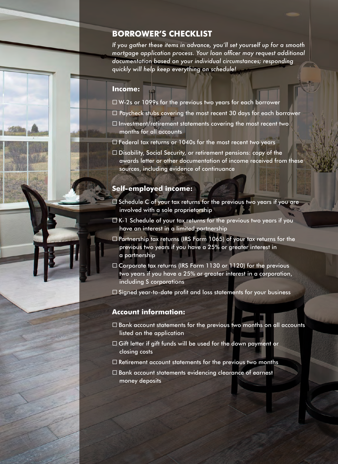# **BORROWER'S CHECKLIST**

*If you gather these items in advance, you'll set yourself up for a smooth mortgage application process. Your loan officer may request additional documentation based on your individual circumstances; responding quickly will help keep everything on schedule!* 

#### **Income:**

- W-2s or 1099s for the previous two years for each borrower
- $\Box$  Paycheck stubs covering the most recent 30 days for each borrower
- $\square$  Investment/retirement statements covering the most recent two months for all accounts
- $\Box$  Federal tax returns or 1040s for the most recent two years
- □ Disability, Social Security, or retirement pensions: copy of the awards letter or other documentation of income received from these sources, including evidence of continuance

### **Self-employed income:**

- $\Box$  Schedule C of your tax returns for the previous two years if you are involved with a sole proprietorship
- $\Box$  K-1 Schedule of your tax returns for the previous two years if you have an interest in a limited partnership
- $\Box$  Partnership tax returns (IRS Form 1065) of your tax returns for the previous two years if you have a 25% or greater interest in a partnership
- □ Corporate tax returns (IRS Form 1130 or 1120) for the previous two years if you have a 25% or greater interest in a corporation, including S corporations
- $\square$  Signed year-to-date profit and loss statements for your business

## **Account information:**

- $\Box$  Bank account statements for the previous two months on all accounts listed on the application
- $\Box$  Gift letter if gift funds will be used for the down payment or closing costs
- $\Box$  Retirement account statements for the previous two months
- $\square$  Bank account statements evidencing clearance of earnest money deposits